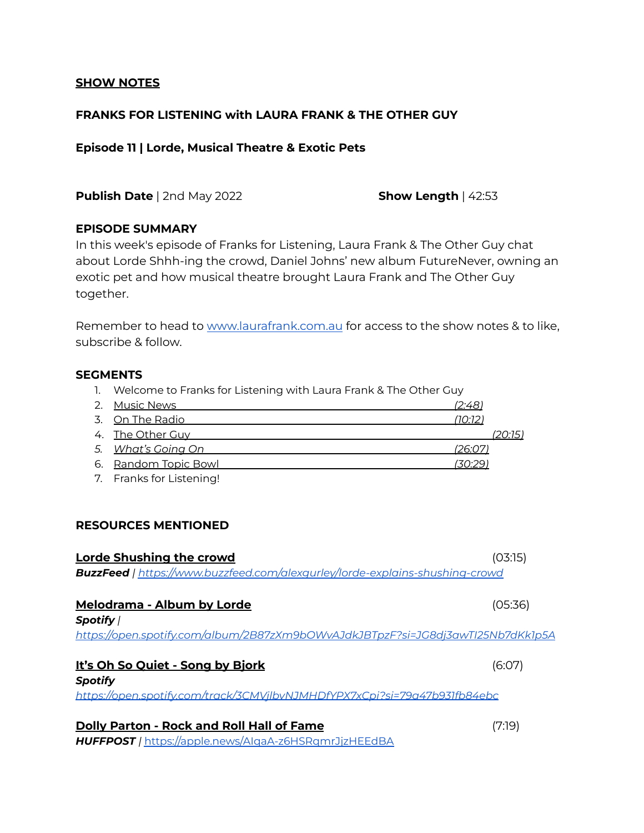### **SHOW NOTES**

# **FRANKS FOR LISTENING with LAURA FRANK & THE OTHER GUY**

#### **Episode 11 | Lorde, Musical Theatre & Exotic Pets**

**Publish Date** | 2nd May 2022 **Show Length** | 42:53

### **EPISODE SUMMARY**

In this week's episode of Franks for Listening, Laura Frank & The Other Guy chat about Lorde Shhh-ing the crowd, Daniel Johns' new album FutureNever, owning an exotic pet and how musical theatre brought Laura Frank and The Other Guy together.

Remember to head to [www.laurafrank.com.au](http://www.laurafrank.com.au) for access to the show notes & to like, subscribe & follow.

### **SEGMENTS**

1. Welcome to Franks for Listening with Laura Frank & The Other Guy

| 2. Music News            | <u>(2:48)</u>  |         |
|--------------------------|----------------|---------|
| 3. On The Radio          | (10:12)        |         |
| 4. The Other Guy         |                | (20:15) |
| 5. What's Going On       | <u>(26:07)</u> |         |
| 6. Random Topic Bowl     | (30:29)        |         |
| 7. Franks for Listening! |                |         |

### **RESOURCES MENTIONED**

| Lorde Shushing the crowd                                                            | (03:15) |
|-------------------------------------------------------------------------------------|---------|
| <b>BuzzFeed</b>   https://www.buzzfeed.com/alexgurley/lorde-explains-shushing-crowd |         |
| Melodrama - Album by Lorde                                                          | (05:36) |
| Spotify /                                                                           |         |
| https://open.spotify.com/album/2B87zXm9bOWvAJdkJBTpzF?si=JG8dj3awTl25Nb7dKkIp5A     |         |
| It's Oh So Quiet - Song by Bjork                                                    | (6:07)  |
| <b>Spotify</b>                                                                      |         |
| https://open.spotify.com/track/3CMVilbvNJMHDfYPX7xCpi?si=79a47b931fb84ebc           |         |
| <b>Dolly Parton - Rock and Roll Hall of Fame</b>                                    | (7:19)  |
| HUFFPOST / https://apple.news/AlgaA-z6HSRgmrJjzHEEdBA                               |         |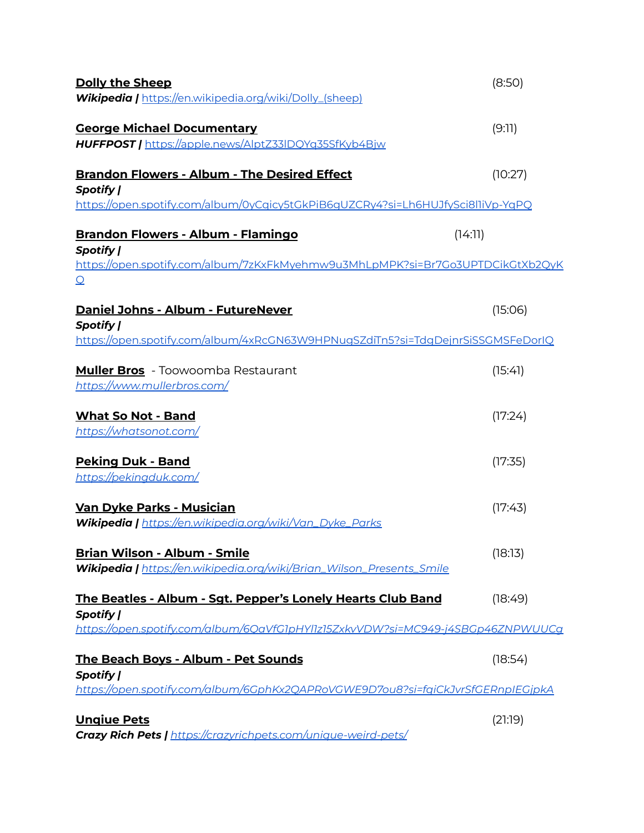| <b>Dolly the Sheep</b>                                                                              | (8:50)  |
|-----------------------------------------------------------------------------------------------------|---------|
| <b>Wikipedia  </b> https://en.wikipedia.org/wiki/Dolly_(sheep)                                      |         |
| <b>George Michael Documentary</b>                                                                   | (9:11)  |
| HUFFPOST   https://apple.news/AlptZ33IDQYq35SfKyb4Bjw                                               |         |
| <b>Brandon Flowers - Album - The Desired Effect</b>                                                 | (10:27) |
| Spotify                                                                                             |         |
| https://open.spotify.com/album/0yCqicy5tGkPiB6gUZCRy4?si=Lh6HUJfySci8l1iVp-YqPQ                     |         |
| <b>Brandon Flowers - Album - Flamingo</b>                                                           | (14:11) |
| Spotify                                                                                             |         |
| https://open.spotify.com/album/7zKxFkMyehmw9u3MhLpMPK?si=Br7Go3UPTDCikGtXb2QyK<br>$\Omega$          |         |
|                                                                                                     |         |
| Daniel Johns - Album - FutureNever                                                                  | (15:06) |
| <b>Spotify /</b><br>https://open.spotify.com/album/4xRcGN63W9HPNugSZdiTn5?si=TdgDejnrSiSSGMSFeDorIQ |         |
|                                                                                                     |         |
| <b>Muller Bros</b> - Toowoomba Restaurant                                                           | (15:41) |
| https://www.mullerbros.com/                                                                         |         |
| <b>What So Not - Band</b>                                                                           | (17:24) |
| https://whatsonot.com/                                                                              |         |
| <b>Peking Duk - Band</b>                                                                            | (17:35) |
| https://pekingduk.com/                                                                              |         |
|                                                                                                     |         |
| <u>Van Dyke Parks - Musician</u><br>Wikipedia   https://en.wikipedia.org/wiki/Van Dyke Parks        | (17:43) |
|                                                                                                     |         |
| Brian Wilson - Album - Smile                                                                        | (18:13) |
| Wikipedia   https://en.wikipedia.org/wiki/Brian_Wilson_Presents_Smile                               |         |
| The Beatles - Album - Sgt. Pepper's Lonely Hearts Club Band                                         | (18:49) |
| Spotify                                                                                             |         |
| https://open.spotify.com/album/6OaVfG1pHYl1z15ZxkvVDW?si=MC949-j4SBGp46ZNPWUUCg                     |         |
| The Beach Boys - Album - Pet Sounds                                                                 | (18:54) |
| Spotify                                                                                             |         |
| https://open.spotify.com/album/6GphKx2QAPRoVGWE9D7ou8?si=fqiCkJvrSfGERnplEGjpkA                     |         |
| <b>Ungiue Pets</b>                                                                                  | (21:19) |
| <b>Crazy Rich Pets   https://crazyrichpets.com/unique-weird-pets/</b>                               |         |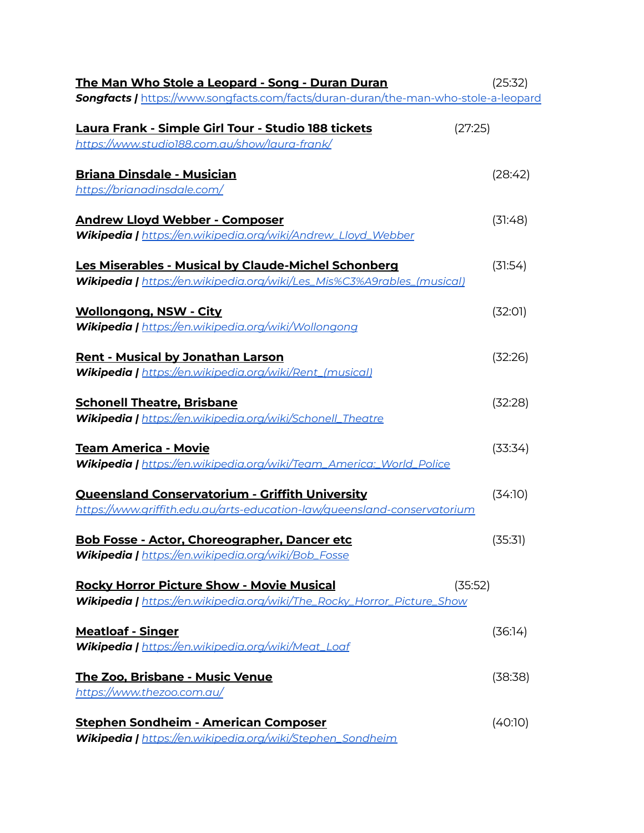| The Man Who Stole a Leopard - Song - Duran Duran                                           | (25:32) |
|--------------------------------------------------------------------------------------------|---------|
| <b>Songfacts / https://www.songfacts.com/facts/duran-duran/the-man-who-stole-a-leopard</b> |         |
| Laura Frank - Simple Girl Tour - Studio 188 tickets<br>(27:25)                             |         |
| https://www.studio188.com.au/show/laura-frank/                                             |         |
| <b>Briana Dinsdale - Musician</b>                                                          | (28:42) |
| https://brianadinsdale.com/                                                                |         |
| <b>Andrew Lloyd Webber - Composer</b>                                                      | (31:48) |
| Wikipedia   https://en.wikipedia.org/wiki/Andrew_Lloyd_Webber                              |         |
| Les Miserables - Musical by Claude-Michel Schonberg                                        | (31:54) |
| Wikipedia   https://en.wikipedia.org/wiki/Les_Mis%C3%A9rables_(musical)                    |         |
| <b>Wollongong, NSW - City</b>                                                              | (32:01) |
| Wikipedia   https://en.wikipedia.org/wiki/Wollongong                                       |         |
| <u> Rent - Musical by Jonathan Larson</u>                                                  | (32:26) |
| <b>Wikipedia   https://en.wikipedia.org/wiki/Rent_(musical)</b>                            |         |
| <b>Schonell Theatre, Brisbane</b>                                                          | (32:28) |
| <b>Wikipedia   https://en.wikipedia.org/wiki/Schonell_Theatre</b>                          |         |
| <b>Team America - Movie</b>                                                                | (33:34) |
| Wikipedia   https://en.wikipedia.org/wiki/Team_America:_World_Police                       |         |
| <b>Queensland Conservatorium - Griffith University</b>                                     | (34:10) |
| https://www.griffith.edu.au/arts-education-law/queensland-conservatorium                   |         |
| <b>Bob Fosse - Actor, Choreographer, Dancer etc</b>                                        | (35:31) |
| Wikipedia   https://en.wikipedia.org/wiki/Bob_Fosse                                        |         |
| <b>Rocky Horror Picture Show - Movie Musical</b><br>(35:52)                                |         |
| <b>Wikipedia   https://en.wikipedia.org/wiki/The_Rocky_Horror_Picture_Show</b>             |         |
| <b>Meatloaf - Singer</b>                                                                   | (36:14) |
| Wikipedia   https://en.wikipedia.org/wiki/Meat_Loaf                                        |         |
| <u> The Zoo, Brisbane - Music Venue</u>                                                    | (38:38) |
| https://www.thezoo.com.au/                                                                 |         |
| <b>Stephen Sondheim - American Composer</b>                                                | (40:10) |
| Wikipedia   https://en.wikipedia.org/wiki/Stephen_Sondheim                                 |         |